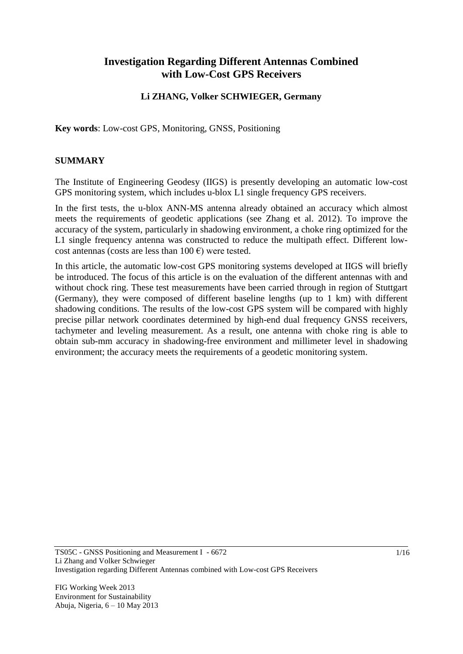# **Investigation Regarding Different Antennas Combined with Low-Cost GPS Receivers**

### **Li ZHANG, Volker SCHWIEGER, Germany**

**Key words**: Low-cost GPS, Monitoring, GNSS, Positioning

#### **SUMMARY**

The Institute of Engineering Geodesy (IIGS) is presently developing an automatic low-cost GPS monitoring system, which includes u-blox L1 single frequency GPS receivers.

In the first tests, the u-blox ANN-MS antenna already obtained an accuracy which almost meets the requirements of geodetic applications (see Zhang et al. 2012). To improve the accuracy of the system, particularly in shadowing environment, a choke ring optimized for the L1 single frequency antenna was constructed to reduce the multipath effect. Different lowcost antennas (costs are less than  $100 \text{ } \infty$ ) were tested.

In this article, the automatic low-cost GPS monitoring systems developed at IIGS will briefly be introduced. The focus of this article is on the evaluation of the different antennas with and without chock ring. These test measurements have been carried through in region of Stuttgart (Germany), they were composed of different baseline lengths (up to 1 km) with different shadowing conditions. The results of the low-cost GPS system will be compared with highly precise pillar network coordinates determined by high-end dual frequency GNSS receivers, tachymeter and leveling measurement. As a result, one antenna with choke ring is able to obtain sub-mm accuracy in shadowing-free environment and millimeter level in shadowing environment; the accuracy meets the requirements of a geodetic monitoring system.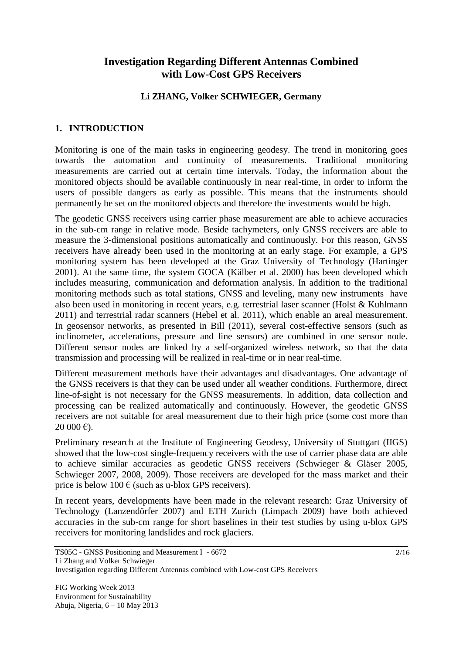# **Investigation Regarding Different Antennas Combined with Low-Cost GPS Receivers**

#### **Li ZHANG, Volker SCHWIEGER, Germany**

#### **1. INTRODUCTION**

Monitoring is one of the main tasks in engineering geodesy. The trend in monitoring goes towards the automation and continuity of measurements. Traditional monitoring measurements are carried out at certain time intervals. Today, the information about the monitored objects should be available continuously in near real-time, in order to inform the users of possible dangers as early as possible. This means that the instruments should permanently be set on the monitored objects and therefore the investments would be high.

The geodetic GNSS receivers using carrier phase measurement are able to achieve accuracies in the sub-cm range in relative mode. Beside tachymeters, only GNSS receivers are able to measure the 3-dimensional positions automatically and continuously. For this reason, GNSS receivers have already been used in the monitoring at an early stage. For example, a GPS monitoring system has been developed at the Graz University of Technology (Hartinger 2001). At the same time, the system GOCA (Kälber et al. 2000) has been developed which includes measuring, communication and deformation analysis. In addition to the traditional monitoring methods such as total stations, GNSS and leveling, many new instruments have also been used in monitoring in recent years, e.g. terrestrial laser scanner (Holst & Kuhlmann 2011) and terrestrial radar scanners (Hebel et al. 2011), which enable an areal measurement. In geosensor networks, as presented in Bill (2011), several cost-effective sensors (such as inclinometer, accelerations, pressure and line sensors) are combined in one sensor node. Different sensor nodes are linked by a self-organized wireless network, so that the data transmission and processing will be realized in real-time or in near real-time.

Different measurement methods have their advantages and disadvantages. One advantage of the GNSS receivers is that they can be used under all weather conditions. Furthermore, direct line-of-sight is not necessary for the GNSS measurements. In addition, data collection and processing can be realized automatically and continuously. However, the geodetic GNSS receivers are not suitable for areal measurement due to their high price (some cost more than  $20000 \text{ } \infty$ .

Preliminary research at the Institute of Engineering Geodesy, University of Stuttgart (IIGS) showed that the low-cost single-frequency receivers with the use of carrier phase data are able to achieve similar accuracies as geodetic GNSS receivers (Schwieger & Gläser 2005, Schwieger 2007, 2008, 2009). Those receivers are developed for the mass market and their price is below  $100 \text{ }\epsilon$  (such as u-blox GPS receivers).

In recent years, developments have been made in the relevant research: Graz University of Technology (Lanzendörfer 2007) and ETH Zurich (Limpach 2009) have both achieved accuracies in the sub-cm range for short baselines in their test studies by using u-blox GPS receivers for monitoring landslides and rock glaciers.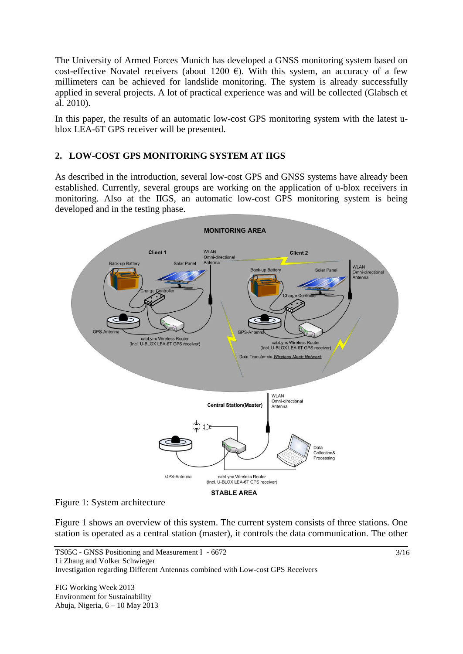The University of Armed Forces Munich has developed a GNSS monitoring system based on cost-effective Novatel receivers (about 1200  $\epsilon$ ). With this system, an accuracy of a few millimeters can be achieved for landslide monitoring. The system is already successfully applied in several projects. A lot of practical experience was and will be collected (Glabsch et al. 2010).

In this paper, the results of an automatic low-cost GPS monitoring system with the latest ublox LEA-6T GPS receiver will be presented.

## **2. LOW-COST GPS MONITORING SYSTEM AT IIGS**

As described in the introduction, several low-cost GPS and GNSS systems have already been established. Currently, several groups are working on the application of u-blox receivers in monitoring. Also at the IIGS, an automatic low-cost GPS monitoring system is being developed and in the testing phase.



Figure 1: System architecture

Figure 1 shows an overview of this system. The current system consists of three stations. One station is operated as a central station (master), it controls the data communication. The other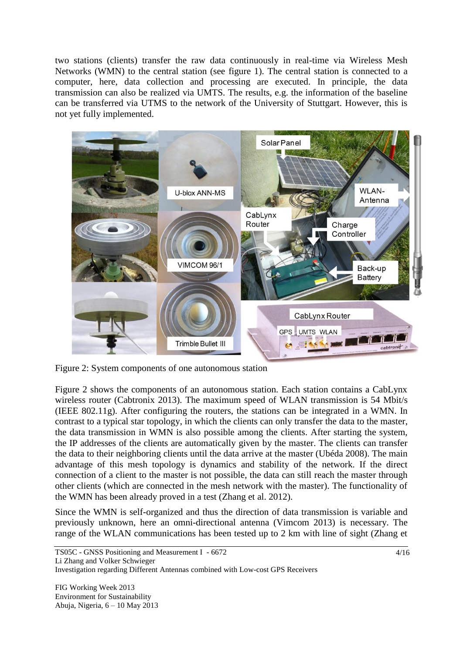two stations (clients) transfer the raw data continuously in real-time via Wireless Mesh Networks (WMN) to the central station (see figure 1). The central station is connected to a computer, here, data collection and processing are executed. In principle, the data transmission can also be realized via UMTS. The results, e.g. the information of the baseline can be transferred via UTMS to the network of the University of Stuttgart. However, this is not yet fully implemented.



Figure 2: System components of one autonomous station

Figure 2 shows the components of an autonomous station. Each station contains a CabLynx wireless router (Cabtronix 2013). The maximum speed of WLAN transmission is 54 Mbit/s (IEEE 802.11g). After configuring the routers, the stations can be integrated in a WMN. In contrast to a typical star topology, in which the clients can only transfer the data to the master, the data transmission in WMN is also possible among the clients. After starting the system, the IP addresses of the clients are automatically given by the master. The clients can transfer the data to their neighboring clients until the data arrive at the master (Ubéda 2008). The main advantage of this mesh topology is dynamics and stability of the network. If the direct connection of a client to the master is not possible, the data can still reach the master through other clients (which are connected in the mesh network with the master). The functionality of the WMN has been already proved in a test (Zhang et al. 2012).

Since the WMN is self-organized and thus the direction of data transmission is variable and previously unknown, here an omni-directional antenna (Vimcom 2013) is necessary. The range of the WLAN communications has been tested up to 2 km with line of sight (Zhang et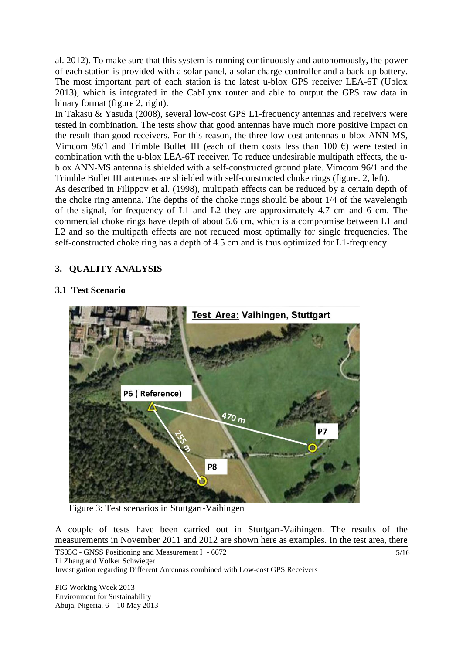al. 2012). To make sure that this system is running continuously and autonomously, the power of each station is provided with a solar panel, a solar charge controller and a back-up battery. The most important part of each station is the latest u-blox GPS receiver LEA-6T (Ublox 2013), which is integrated in the CabLynx router and able to output the GPS raw data in binary format (figure 2, right).

In Takasu & Yasuda (2008), several low-cost GPS L1-frequency antennas and receivers were tested in combination. The tests show that good antennas have much more positive impact on the result than good receivers. For this reason, the three low-cost antennas u-blox ANN-MS, Vimcom 96/1 and Trimble Bullet III (each of them costs less than 100  $\epsilon$ ) were tested in combination with the u-blox LEA-6T receiver. To reduce undesirable multipath effects, the ublox ANN-MS antenna is shielded with a self-constructed ground plate. Vimcom 96/1 and the Trimble Bullet III antennas are shielded with self-constructed choke rings (figure. 2, left).

As described in Filippov et al. (1998), multipath effects can be reduced by a certain depth of the choke ring antenna. The depths of the choke rings should be about 1/4 of the wavelength of the signal, for frequency of L1 and L2 they are approximately 4.7 cm and 6 cm. The commercial choke rings have depth of about 5.6 cm, which is a compromise between L1 and L2 and so the multipath effects are not reduced most optimally for single frequencies. The self-constructed choke ring has a depth of 4.5 cm and is thus optimized for L1-frequency.

### **3. QUALITY ANALYSIS**

### **3.1 Test Scenario**



Figure 3: Test scenarios in Stuttgart-Vaihingen

A couple of tests have been carried out in Stuttgart-Vaihingen. The results of the measurements in November 2011 and 2012 are shown here as examples. In the test area, there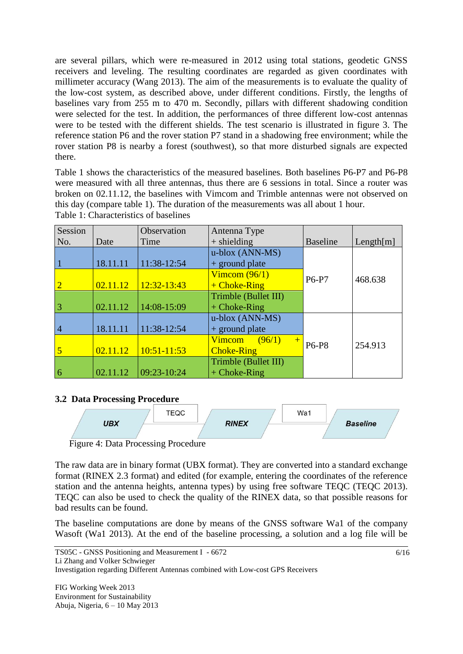are several pillars, which were re-measured in 2012 using total stations, geodetic GNSS receivers and leveling. The resulting coordinates are regarded as given coordinates with millimeter accuracy (Wang 2013). The aim of the measurements is to evaluate the quality of the low-cost system, as described above, under different conditions. Firstly, the lengths of baselines vary from 255 m to 470 m. Secondly, pillars with different shadowing condition were selected for the test. In addition, the performances of three different low-cost antennas were to be tested with the different shields. The test scenario is illustrated in figure 3. The reference station P6 and the rover station P7 stand in a shadowing free environment; while the rover station P8 is nearby a forest (southwest), so that more disturbed signals are expected there.

Table 1 shows the characteristics of the measured baselines. Both baselines P6-P7 and P6-P8 were measured with all three antennas, thus there are 6 sessions in total. Since a router was broken on 02.11.12, the baselines with Vimcom and Trimble antennas were not observed on this day (compare table 1). The duration of the measurements was all about 1 hour.

| Session        |          | Observation   | Antenna Type                   |                 |           |
|----------------|----------|---------------|--------------------------------|-----------------|-----------|
| No.            | Date     | Time          | $+$ shielding                  | <b>Baseline</b> | Length[m] |
|                |          |               | u-blox (ANN-MS)                |                 |           |
| $\mathbf{1}$   | 18.11.11 | 11:38-12:54   | $+$ ground plate               |                 |           |
|                |          |               | Vimcom $(96/1)$                | P6-P7           | 468.638   |
| $\overline{2}$ | 02.11.12 | 12:32-13:43   | $+$ Choke-Ring                 |                 |           |
|                |          |               | Trimble (Bullet III)           |                 |           |
| $\vert$ 3      | 02.11.12 | 14:08-15:09   | $+$ Choke-Ring                 |                 |           |
|                |          |               | u-blox (ANN-MS)                |                 |           |
| $\overline{4}$ | 18.11.11 | 11:38-12:54   | $+$ ground plate               |                 |           |
|                |          |               | <b>Vimcom</b><br>(96/1)<br>$+$ | <b>P6-P8</b>    | 254.913   |
| 5              | 02.11.12 | $10:51-11:53$ | <b>Choke-Ring</b>              |                 |           |
|                |          |               | Trimble (Bullet III)           |                 |           |
| 6              | 02.11.12 | 09:23-10:24   | $+$ Choke-Ring                 |                 |           |

Table 1: Characteristics of baselines

## **3.2 Data Processing Procedure**



Figure 4: Data Processing Procedure

The raw data are in binary format (UBX format). They are converted into a standard exchange format (RINEX 2.3 format) and edited (for example, entering the coordinates of the reference station and the antenna heights, antenna types) by using free software TEQC (TEQC 2013). TEQC can also be used to check the quality of the RINEX data, so that possible reasons for bad results can be found.

The baseline computations are done by means of the GNSS software Wa1 of the company Wasoft (Wa1 2013). At the end of the baseline processing, a solution and a log file will be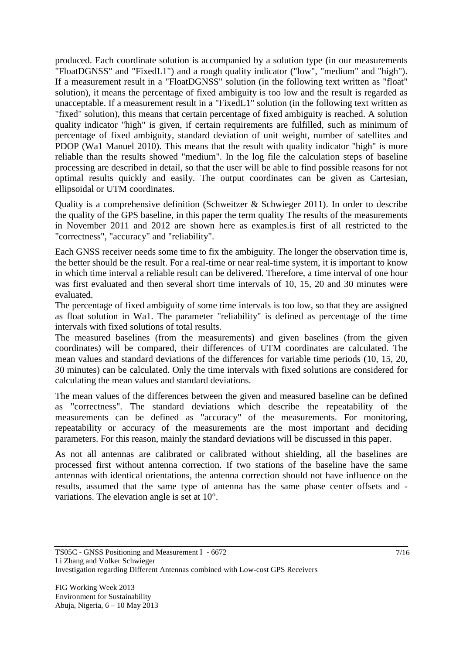produced. Each coordinate solution is accompanied by a solution type (in our measurements "FloatDGNSS" and "FixedL1") and a rough quality indicator ("low", "medium" and "high"). If a measurement result in a "FloatDGNSS" solution (in the following text written as "float" solution), it means the percentage of fixed ambiguity is too low and the result is regarded as unacceptable. If a measurement result in a "FixedL1" solution (in the following text written as "fixed" solution), this means that certain percentage of fixed ambiguity is reached. A solution quality indicator "high" is given, if certain requirements are fulfilled, such as minimum of percentage of fixed ambiguity, standard deviation of unit weight, number of satellites and PDOP (Wa1 Manuel 2010). This means that the result with quality indicator "high" is more reliable than the results showed "medium". In the log file the calculation steps of baseline processing are described in detail, so that the user will be able to find possible reasons for not optimal results quickly and easily. The output coordinates can be given as Cartesian, ellipsoidal or UTM coordinates.

Quality is a comprehensive definition (Schweitzer & Schwieger 2011). In order to describe the quality of the GPS baseline, in this paper the term quality The results of the measurements in November 2011 and 2012 are shown here as examples.is first of all restricted to the "correctness", "accuracy" and "reliability".

Each GNSS receiver needs some time to fix the ambiguity. The longer the observation time is, the better should be the result. For a real-time or near real-time system, it is important to know in which time interval a reliable result can be delivered. Therefore, a time interval of one hour was first evaluated and then several short time intervals of 10, 15, 20 and 30 minutes were evaluated.

The percentage of fixed ambiguity of some time intervals is too low, so that they are assigned as float solution in Wa1. The parameter "reliability" is defined as percentage of the time intervals with fixed solutions of total results.

The measured baselines (from the measurements) and given baselines (from the given coordinates) will be compared, their differences of UTM coordinates are calculated. The mean values and standard deviations of the differences for variable time periods (10, 15, 20, 30 minutes) can be calculated. Only the time intervals with fixed solutions are considered for calculating the mean values and standard deviations.

The mean values of the differences between the given and measured baseline can be defined as "correctness". The standard deviations which describe the repeatability of the measurements can be defined as "accuracy" of the measurements. For monitoring, repeatability or accuracy of the measurements are the most important and deciding parameters. For this reason, mainly the standard deviations will be discussed in this paper.

As not all antennas are calibrated or calibrated without shielding, all the baselines are processed first without antenna correction. If two stations of the baseline have the same antennas with identical orientations, the antenna correction should not have influence on the results, assumed that the same type of antenna has the same phase center offsets and variations. The elevation angle is set at 10°.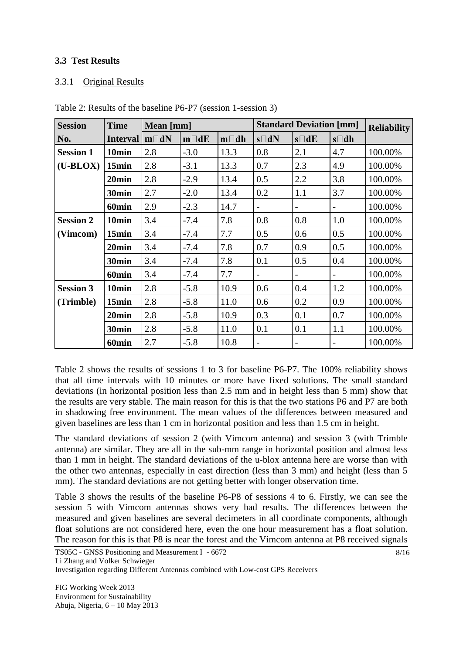#### **3.3 Test Results**

#### 3.3.1 Original Results

| <b>Session</b>   | <b>Time</b>       | Mean [mm]     |             |              | <b>Standard Deviation [mm]</b> | <b>Reliability</b>       |                          |         |
|------------------|-------------------|---------------|-------------|--------------|--------------------------------|--------------------------|--------------------------|---------|
| No.              | <b>Interval</b>   | $m\square dN$ | $m \Box dE$ | $m \Box d h$ | $s\square dN$                  | $s \Box dE$              | $s \Box$ dh              |         |
| <b>Session 1</b> | 10 <sub>min</sub> | 2.8           | $-3.0$      | 13.3         | 0.8                            | 2.1                      | 4.7                      | 100.00% |
| $(U-BLOX)$       | 15min             | 2.8           | $-3.1$      | 13.3         | 0.7                            | 2.3                      | 4.9                      | 100.00% |
|                  | 20min             | 2.8           | $-2.9$      | 13.4         | 0.5                            | 2.2                      | 3.8                      | 100.00% |
|                  | 30min             | 2.7           | $-2.0$      | 13.4         | 0.2                            | 1.1                      | 3.7                      | 100.00% |
|                  | 60 <sub>min</sub> | 2.9           | $-2.3$      | 14.7         | $\overline{\phantom{0}}$       |                          | $\overline{\phantom{a}}$ | 100.00% |
| <b>Session 2</b> | 10 <sub>min</sub> | 3.4           | $-7.4$      | 7.8          | 0.8                            | 0.8                      | 1.0                      | 100.00% |
| (Vimcom)         | 15min             | 3.4           | $-7.4$      | 7.7          | 0.5                            | 0.6                      | 0.5                      | 100.00% |
|                  | 20min             | 3.4           | $-7.4$      | 7.8          | 0.7                            | 0.9                      | 0.5                      | 100.00% |
|                  | 30 <sub>min</sub> | 3.4           | $-7.4$      | 7.8          | 0.1                            | 0.5                      | 0.4                      | 100.00% |
|                  | 60 <sub>min</sub> | 3.4           | $-7.4$      | 7.7          | $\overline{\phantom{a}}$       | $\overline{\phantom{a}}$ | $\overline{\phantom{a}}$ | 100.00% |
| <b>Session 3</b> | 10 <sub>min</sub> | 2.8           | $-5.8$      | 10.9         | 0.6                            | 0.4                      | 1.2                      | 100.00% |
| (Trimble)        | 15min             | 2.8           | $-5.8$      | 11.0         | 0.6                            | 0.2                      | 0.9                      | 100.00% |
|                  | 20min             | 2.8           | $-5.8$      | 10.9         | 0.3                            | 0.1                      | 0.7                      | 100.00% |
|                  | 30min             | 2.8           | $-5.8$      | 11.0         | 0.1                            | 0.1                      | 1.1                      | 100.00% |
|                  | 60 <sub>min</sub> | 2.7           | $-5.8$      | 10.8         | $\overline{\phantom{a}}$       |                          |                          | 100.00% |

Table 2: Results of the baseline P6-P7 (session 1-session 3)

Table 2 shows the results of sessions 1 to 3 for baseline P6-P7. The 100% reliability shows that all time intervals with 10 minutes or more have fixed solutions. The small standard deviations (in horizontal position less than 2.5 mm and in height less than 5 mm) show that the results are very stable. The main reason for this is that the two stations P6 and P7 are both in shadowing free environment. The mean values of the differences between measured and given baselines are less than 1 cm in horizontal position and less than 1.5 cm in height.

The standard deviations of session 2 (with Vimcom antenna) and session 3 (with Trimble antenna) are similar. They are all in the sub-mm range in horizontal position and almost less than 1 mm in height. The standard deviations of the u-blox antenna here are worse than with the other two antennas, especially in east direction (less than 3 mm) and height (less than 5 mm). The standard deviations are not getting better with longer observation time.

Table 3 shows the results of the baseline P6-P8 of sessions 4 to 6. Firstly, we can see the session 5 with Vimcom antennas shows very bad results. The differences between the measured and given baselines are several decimeters in all coordinate components, although float solutions are not considered here, even the one hour measurement has a float solution. The reason for this is that P8 is near the forest and the Vimcom antenna at P8 received signals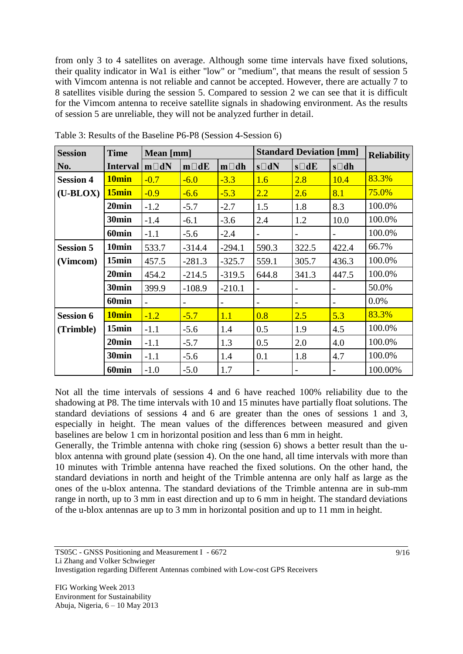from only 3 to 4 satellites on average. Although some time intervals have fixed solutions, their quality indicator in Wa1 is either "low" or "medium", that means the result of session 5 with Vimcom antenna is not reliable and cannot be accepted. However, there are actually 7 to 8 satellites visible during the session 5. Compared to session 2 we can see that it is difficult for the Vimcom antenna to receive satellite signals in shadowing environment. As the results of session 5 are unreliable, they will not be analyzed further in detail.

| <b>Session</b>   | <b>Time</b>       | Mean [mm]      |                          |              | <b>Standard Deviation [mm]</b> | <b>Reliability</b>       |                          |         |
|------------------|-------------------|----------------|--------------------------|--------------|--------------------------------|--------------------------|--------------------------|---------|
| No.              | <b>Interval</b>   | $m\square dN$  | $m \Box dE$              | $m \Box d h$ | $s\square dN$                  | $s \Box dE$              | $s \Box d h$             |         |
| <b>Session 4</b> | 10 <sub>min</sub> | $-0.7$         | $-6.0$                   | $-3.3$       | 1.6                            | 2.8                      | 10.4                     | 83.3%   |
| $(U-BLOX)$       | 15min             | $-0.9$         | $-6.6$                   | $-5.3$       | 2.2                            | 2.6                      | 8.1                      | 75.0%   |
|                  | 20min             | $-1.2$         | $-5.7$                   | $-2.7$       | 1.5                            | 1.8                      | 8.3                      | 100.0%  |
|                  | 30min             | $-1.4$         | $-6.1$                   | $-3.6$       | 2.4                            | 1.2                      | 10.0                     | 100.0%  |
|                  | 60 <sub>min</sub> | $-1.1$         | $-5.6$                   | $-2.4$       | $\qquad \qquad -$              | $\qquad \qquad -$        |                          | 100.0%  |
| <b>Session 5</b> | 10 <sub>min</sub> | 533.7          | $-314.4$                 | $-294.1$     | 590.3                          | 322.5                    | 422.4                    | 66.7%   |
| (Vimcom)         | 15min             | 457.5          | $-281.3$                 | $-325.7$     | 559.1                          | 305.7                    | 436.3                    | 100.0%  |
|                  | 20min             | 454.2          | $-214.5$                 | $-319.5$     | 644.8                          | 341.3                    | 447.5                    | 100.0%  |
|                  | 30min             | 399.9          | $-108.9$                 | $-210.1$     | $\overline{\phantom{a}}$       | $\overline{\phantom{a}}$ | $\overline{\phantom{a}}$ | 50.0%   |
|                  | 60 <sub>min</sub> | $\overline{a}$ | $\overline{\phantom{0}}$ |              |                                |                          | $\overline{a}$           | 0.0%    |
| <b>Session 6</b> | 10 <sub>min</sub> | $-1.2$         | $-5.7$                   | 1.1          | 0.8                            | 2.5                      | 5.3                      | 83.3%   |
| (Trimble)        | 15min             | $-1.1$         | $-5.6$                   | 1.4          | 0.5                            | 1.9                      | 4.5                      | 100.0%  |
|                  | 20min             | $-1.1$         | $-5.7$                   | 1.3          | 0.5                            | 2.0                      | 4.0                      | 100.0%  |
|                  | 30min             | $-1.1$         | $-5.6$                   | 1.4          | 0.1                            | 1.8                      | 4.7                      | 100.0%  |
|                  | 60 <sub>min</sub> | $-1.0$         | $-5.0$                   | 1.7          | $\overline{\phantom{a}}$       | $\overline{\phantom{a}}$ | $\qquad \qquad -$        | 100.00% |

Table 3: Results of the Baseline P6-P8 (Session 4-Session 6)

Not all the time intervals of sessions 4 and 6 have reached 100% reliability due to the shadowing at P8. The time intervals with 10 and 15 minutes have partially float solutions. The standard deviations of sessions 4 and 6 are greater than the ones of sessions 1 and 3, especially in height. The mean values of the differences between measured and given baselines are below 1 cm in horizontal position and less than 6 mm in height.

Generally, the Trimble antenna with choke ring (session 6) shows a better result than the ublox antenna with ground plate (session 4). On the one hand, all time intervals with more than 10 minutes with Trimble antenna have reached the fixed solutions. On the other hand, the standard deviations in north and height of the Trimble antenna are only half as large as the ones of the u-blox antenna. The standard deviations of the Trimble antenna are in sub-mm range in north, up to 3 mm in east direction and up to 6 mm in height. The standard deviations of the u-blox antennas are up to 3 mm in horizontal position and up to 11 mm in height.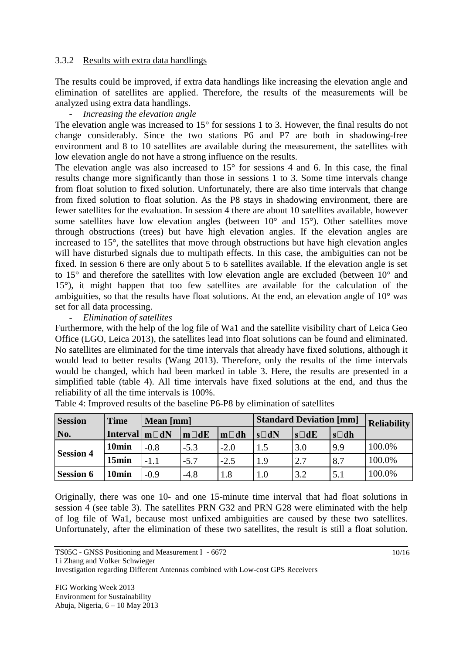#### 3.3.2 Results with extra data handlings

The results could be improved, if extra data handlings like increasing the elevation angle and elimination of satellites are applied. Therefore, the results of the measurements will be analyzed using extra data handlings.

#### - *Increasing the elevation angle*

The elevation angle was increased to 15<sup>°</sup> for sessions 1 to 3. However, the final results do not change considerably. Since the two stations P6 and P7 are both in shadowing-free environment and 8 to 10 satellites are available during the measurement, the satellites with low elevation angle do not have a strong influence on the results.

The elevation angle was also increased to  $15^{\circ}$  for sessions 4 and 6. In this case, the final results change more significantly than those in sessions 1 to 3. Some time intervals change from float solution to fixed solution. Unfortunately, there are also time intervals that change from fixed solution to float solution. As the P8 stays in shadowing environment, there are fewer satellites for the evaluation. In session 4 there are about 10 satellites available, however some satellites have low elevation angles (between  $10^{\circ}$  and  $15^{\circ}$ ). Other satellites move through obstructions (trees) but have high elevation angles. If the elevation angles are increased to 15°, the satellites that move through obstructions but have high elevation angles will have disturbed signals due to multipath effects. In this case, the ambiguities can not be fixed. In session 6 there are only about 5 to 6 satellites available. If the elevation angle is set to 15° and therefore the satellites with low elevation angle are excluded (between 10° and 15°), it might happen that too few satellites are available for the calculation of the ambiguities, so that the results have float solutions. At the end, an elevation angle of 10° was set for all data processing.

#### - *Elimination of satellites*

Furthermore, with the help of the log file of Wa1 and the satellite visibility chart of Leica Geo Office (LGO, Leica 2013), the satellites lead into float solutions can be found and eliminated. No satellites are eliminated for the time intervals that already have fixed solutions, although it would lead to better results (Wang 2013). Therefore, only the results of the time intervals would be changed, which had been marked in table 3. Here, the results are presented in a simplified table (table 4). All time intervals have fixed solutions at the end, and thus the reliability of all the time intervals is 100%.

| <b>Session</b>   | <b>Time</b>           | Mean [mm] |             |              | <b>Standard Deviation [mm]</b> | <b>Reliability</b> |             |        |
|------------------|-----------------------|-----------|-------------|--------------|--------------------------------|--------------------|-------------|--------|
| No.              | Interval $ m \Box dN$ |           | $m \Box dE$ | $m \Box d h$ | $s\square dN$                  | $s \Box dE$        | $s \Box$ dh |        |
| <b>Session 4</b> | 10 <sub>min</sub>     | $-0.8$    | $-5.3$      | $-2.0$       |                                | 3.0                | 9.9         | 100.0% |
|                  | 15min                 |           | $-5.7$      | $-2.5$       | 1.9                            | 2.7                | 8.7         | 100.0% |
| <b>Session 6</b> | 10 <sub>min</sub>     | $-0.9$    | $-4.8$      | $1.8\,$      | 1.0                            | 3.2                | 5.1         | 100.0% |

Table 4: Improved results of the baseline P6-P8 by elimination of satellites

Originally, there was one 10- and one 15-minute time interval that had float solutions in session 4 (see table 3). The satellites PRN G32 and PRN G28 were eliminated with the help of log file of Wa1, because most unfixed ambiguities are caused by these two satellites. Unfortunately, after the elimination of these two satellites, the result is still a float solution.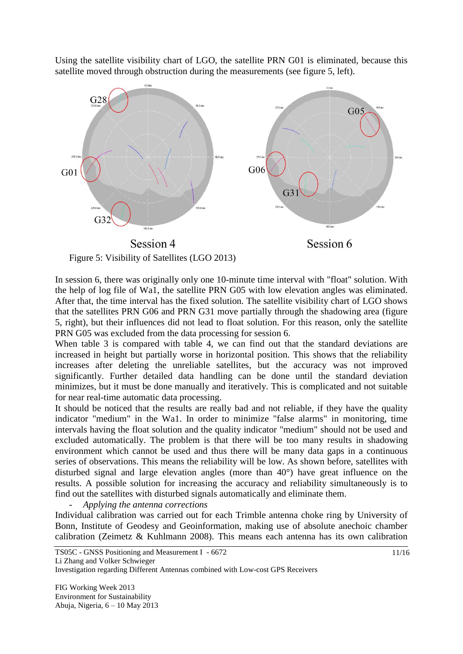Using the satellite visibility chart of LGO, the satellite PRN G01 is eliminated, because this satellite moved through obstruction during the measurements (see figure 5, left).



Figure 5: Visibility of Satellites (LGO 2013)

In session 6, there was originally only one 10-minute time interval with "float" solution. With the help of log file of Wa1, the satellite PRN G05 with low elevation angles was eliminated. After that, the time interval has the fixed solution. The satellite visibility chart of LGO shows that the satellites PRN G06 and PRN G31 move partially through the shadowing area (figure 5, right), but their influences did not lead to float solution. For this reason, only the satellite PRN G05 was excluded from the data processing for session 6.

When table 3 is compared with table 4, we can find out that the standard deviations are increased in height but partially worse in horizontal position. This shows that the reliability increases after deleting the unreliable satellites, but the accuracy was not improved significantly. Further detailed data handling can be done until the standard deviation minimizes, but it must be done manually and iteratively. This is complicated and not suitable for near real-time automatic data processing.

It should be noticed that the results are really bad and not reliable, if they have the quality indicator "medium" in the Wa1. In order to minimize "false alarms" in monitoring, time intervals having the float solution and the quality indicator "medium" should not be used and excluded automatically. The problem is that there will be too many results in shadowing environment which cannot be used and thus there will be many data gaps in a continuous series of observations. This means the reliability will be low. As shown before, satellites with disturbed signal and large elevation angles (more than 40°) have great influence on the results. A possible solution for increasing the accuracy and reliability simultaneously is to find out the satellites with disturbed signals automatically and eliminate them.

- *Applying the antenna corrections*

Individual calibration was carried out for each Trimble antenna choke ring by University of Bonn, Institute of Geodesy and Geoinformation, making use of absolute anechoic chamber calibration (Zeimetz & Kuhlmann 2008). This means each antenna has its own calibration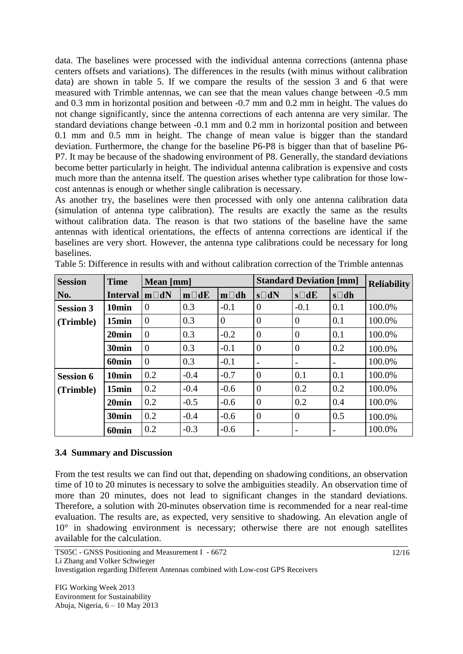data. The baselines were processed with the individual antenna corrections (antenna phase centers offsets and variations). The differences in the results (with minus without calibration data) are shown in table 5. If we compare the results of the session 3 and 6 that were measured with Trimble antennas, we can see that the mean values change between -0.5 mm and 0.3 mm in horizontal position and between -0.7 mm and 0.2 mm in height. The values do not change significantly, since the antenna corrections of each antenna are very similar. The standard deviations change between -0.1 mm and 0.2 mm in horizontal position and between 0.1 mm and 0.5 mm in height. The change of mean value is bigger than the standard deviation. Furthermore, the change for the baseline P6-P8 is bigger than that of baseline P6- P7. It may be because of the shadowing environment of P8. Generally, the standard deviations become better particularly in height. The individual antenna calibration is expensive and costs much more than the antenna itself. The question arises whether type calibration for those lowcost antennas is enough or whether single calibration is necessary.

As another try, the baselines were then processed with only one antenna calibration data (simulation of antenna type calibration). The results are exactly the same as the results without calibration data. The reason is that two stations of the baseline have the same antennas with identical orientations, the effects of antenna corrections are identical if the baselines are very short. However, the antenna type calibrations could be necessary for long baselines.

| <b>Session</b>   | <b>Time</b>       | Mean [mm]      |             |                | <b>Standard Deviation [mm]</b> | <b>Reliability</b> |                          |        |
|------------------|-------------------|----------------|-------------|----------------|--------------------------------|--------------------|--------------------------|--------|
| No.              | <b>Interval</b>   | $m\square dN$  | $m \Box dE$ | $m \Box d h$   | $s\square dN$                  | $s \Box dE$        | $s \Box dh$              |        |
| <b>Session 3</b> | 10 <sub>min</sub> | 0              | 0.3         | $-0.1$         | $\Omega$                       | $-0.1$             | 0.1                      | 100.0% |
| (Trimble)        | 15min             | $\theta$       | 0.3         | $\overline{0}$ | $\overline{0}$                 | $\theta$           | 0.1                      | 100.0% |
|                  | 20min             | $\overline{0}$ | 0.3         | $-0.2$         | $\theta$                       | $\theta$           | 0.1                      | 100.0% |
|                  | 30 <sub>min</sub> | $\overline{0}$ | 0.3         | $-0.1$         | $\overline{0}$                 | $\overline{0}$     | 0.2                      | 100.0% |
|                  | 60 <sub>min</sub> | $\overline{0}$ | 0.3         | $-0.1$         |                                |                    | $\overline{\phantom{a}}$ | 100.0% |
| <b>Session 6</b> | 10 <sub>min</sub> | 0.2            | $-0.4$      | $-0.7$         | $\theta$                       | 0.1                | 0.1                      | 100.0% |
| (Trimble)        | 15min             | 0.2            | $-0.4$      | $-0.6$         | $\theta$                       | 0.2                | 0.2                      | 100.0% |
|                  | 20min             | 0.2            | $-0.5$      | $-0.6$         | $\overline{0}$                 | 0.2                | 0.4                      | 100.0% |
|                  | 30 <sub>min</sub> | 0.2            | $-0.4$      | $-0.6$         | $\overline{0}$                 | $\overline{0}$     | 0.5                      | 100.0% |
|                  | 60 <sub>min</sub> | 0.2            | $-0.3$      | $-0.6$         |                                |                    | $\overline{\phantom{0}}$ | 100.0% |

Table 5: Difference in results with and without calibration correction of the Trimble antennas

#### **3.4 Summary and Discussion**

From the test results we can find out that, depending on shadowing conditions, an observation time of 10 to 20 minutes is necessary to solve the ambiguities steadily. An observation time of more than 20 minutes, does not lead to significant changes in the standard deviations. Therefore, a solution with 20-minutes observation time is recommended for a near real-time evaluation. The results are, as expected, very sensitive to shadowing. An elevation angle of 10° in shadowing environment is necessary; otherwise there are not enough satellites available for the calculation.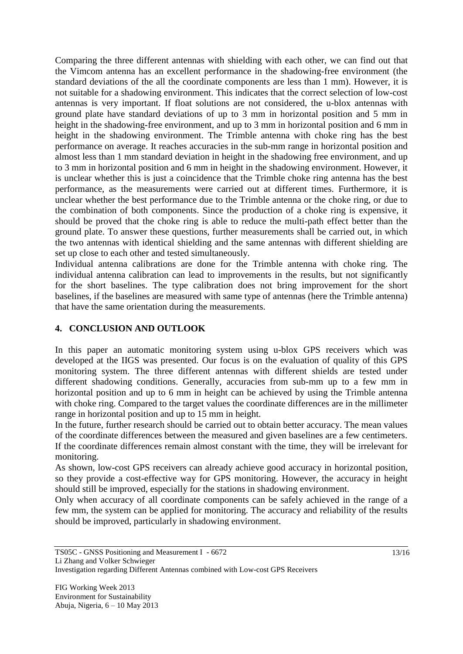Comparing the three different antennas with shielding with each other, we can find out that the Vimcom antenna has an excellent performance in the shadowing-free environment (the standard deviations of the all the coordinate components are less than 1 mm). However, it is not suitable for a shadowing environment. This indicates that the correct selection of low-cost antennas is very important. If float solutions are not considered, the u-blox antennas with ground plate have standard deviations of up to 3 mm in horizontal position and 5 mm in height in the shadowing-free environment, and up to 3 mm in horizontal position and 6 mm in height in the shadowing environment. The Trimble antenna with choke ring has the best performance on average. It reaches accuracies in the sub-mm range in horizontal position and almost less than 1 mm standard deviation in height in the shadowing free environment, and up to 3 mm in horizontal position and 6 mm in height in the shadowing environment. However, it is unclear whether this is just a coincidence that the Trimble choke ring antenna has the best performance, as the measurements were carried out at different times. Furthermore, it is unclear whether the best performance due to the Trimble antenna or the choke ring, or due to the combination of both components. Since the production of a choke ring is expensive, it should be proved that the choke ring is able to reduce the multi-path effect better than the ground plate. To answer these questions, further measurements shall be carried out, in which the two antennas with identical shielding and the same antennas with different shielding are set up close to each other and tested simultaneously.

Individual antenna calibrations are done for the Trimble antenna with choke ring. The individual antenna calibration can lead to improvements in the results, but not significantly for the short baselines. The type calibration does not bring improvement for the short baselines, if the baselines are measured with same type of antennas (here the Trimble antenna) that have the same orientation during the measurements.

### **4. CONCLUSION AND OUTLOOK**

In this paper an automatic monitoring system using u-blox GPS receivers which was developed at the IIGS was presented. Our focus is on the evaluation of quality of this GPS monitoring system. The three different antennas with different shields are tested under different shadowing conditions. Generally, accuracies from sub-mm up to a few mm in horizontal position and up to 6 mm in height can be achieved by using the Trimble antenna with choke ring. Compared to the target values the coordinate differences are in the millimeter range in horizontal position and up to 15 mm in height.

In the future, further research should be carried out to obtain better accuracy. The mean values of the coordinate differences between the measured and given baselines are a few centimeters. If the coordinate differences remain almost constant with the time, they will be irrelevant for monitoring.

As shown, low-cost GPS receivers can already achieve good accuracy in horizontal position, so they provide a cost-effective way for GPS monitoring. However, the accuracy in height should still be improved, especially for the stations in shadowing environment.

Only when accuracy of all coordinate components can be safely achieved in the range of a few mm, the system can be applied for monitoring. The accuracy and reliability of the results should be improved, particularly in shadowing environment.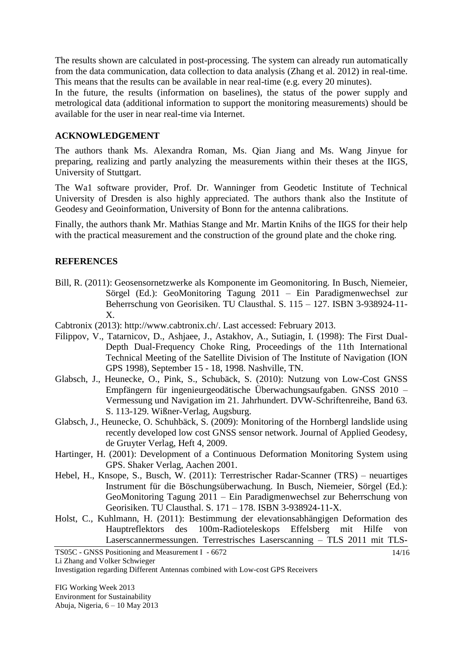The results shown are calculated in post-processing. The system can already run automatically from the data communication, data collection to data analysis (Zhang et al. 2012) in real-time. This means that the results can be available in near real-time (e.g. every 20 minutes).

In the future, the results (information on baselines), the status of the power supply and metrological data (additional information to support the monitoring measurements) should be available for the user in near real-time via Internet.

#### **ACKNOWLEDGEMENT**

The authors thank Ms. Alexandra Roman, Ms. Qian Jiang and Ms. Wang Jinyue for preparing, realizing and partly analyzing the measurements within their theses at the IIGS, University of Stuttgart.

The Wa1 software provider, Prof. Dr. Wanninger from Geodetic Institute of Technical University of Dresden is also highly appreciated. The authors thank also the Institute of Geodesy and Geoinformation, University of Bonn for the antenna calibrations.

Finally, the authors thank Mr. Mathias Stange and Mr. Martin Knihs of the IIGS for their help with the practical measurement and the construction of the ground plate and the choke ring.

#### **REFERENCES**

- Bill, R. (2011): Geosensornetzwerke als Komponente im Geomonitoring. In Busch, Niemeier, Sörgel (Ed.): GeoMonitoring Tagung 2011 – Ein Paradigmenwechsel zur Beherrschung von Georisiken. TU Clausthal. S. 115 – 127. ISBN 3-938924-11- X.
- Cabtronix (2013): [http://www.cabtronix.ch/.](http://www.cabtronix.ch/) Last accessed: February 2013.
- Filippov, V., Tatarnicov, D., Ashjaee, J., Astakhov, A., Sutiagin, I. (1998): The First Dual-Depth Dual-Frequency Choke Ring, Proceedings of the 11th International Technical Meeting of the Satellite Division of The Institute of Navigation (ION GPS 1998), September 15 - 18, 1998. Nashville, TN.
- Glabsch, J., Heunecke, O., Pink, S., Schubäck, S. (2010): Nutzung von Low-Cost GNSS Empfängern für ingenieurgeodätische Überwachungsaufgaben. GNSS 2010 – Vermessung und Navigation im 21. Jahrhundert. DVW-Schriftenreihe, Band 63. S. 113-129. Wißner-Verlag, Augsburg.
- Glabsch, J., Heunecke, O. Schuhbäck, S. (2009): Monitoring of the Hornbergl landslide using recently developed low cost GNSS sensor network. Journal of Applied Geodesy, de Gruyter Verlag, Heft 4, 2009.
- Hartinger, H. (2001): Development of a Continuous Deformation Monitoring System using GPS. Shaker Verlag, Aachen 2001.
- Hebel, H., Knsope, S., Busch, W. (2011): Terrestrischer Radar-Scanner (TRS) neuartiges Instrument für die Böschungsüberwachung. In Busch, Niemeier, Sörgel (Ed.): GeoMonitoring Tagung 2011 – Ein Paradigmenwechsel zur Beherrschung von Georisiken. TU Clausthal. S. 171 – 178. ISBN 3-938924-11-X.
- Holst, C., Kuhlmann, H. (2011): Bestimmung der elevationsabhängigen Deformation des Hauptreflektors des 100m-Radioteleskops Effelsberg mit Hilfe von Laserscannermessungen. Terrestrisches Laserscanning – TLS 2011 mit TLS-

Investigation regarding Different Antennas combined with Low-cost GPS Receivers

TS05C - GNSS Positioning and Measurement I - 6672 Li Zhang and Volker Schwieger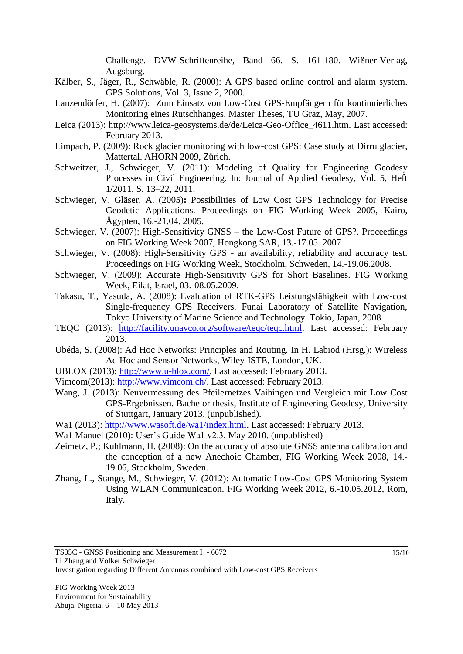Challenge. DVW-Schriftenreihe, Band 66. S. 161-180. Wißner-Verlag, Augsburg.

- Kälber, S., Jäger, R., Schwäble, R. (2000): A GPS based online control and alarm system. GPS Solutions, Vol. 3, Issue 2, 2000.
- Lanzendörfer, H. (2007): Zum Einsatz von Low-Cost GPS-Empfängern für kontinuierliches Monitoring eines Rutschhanges. Master Theses, TU Graz, May, 2007.
- Leica (2013): http://www.leica-geosystems.de/de/Leica-Geo-Office 4611.htm. Last accessed: February 2013.
- Limpach, P. (2009): Rock glacier monitoring with low-cost GPS: Case study at Dirru glacier, Mattertal. AHORN 2009, Zürich.
- Schweitzer, J., Schwieger, V. (2011): Modeling of Quality for Engineering Geodesy Processes in Civil Engineering. In: Journal of Applied Geodesy, Vol. 5, Heft 1/2011, S. 13–22, 2011.
- Schwieger, V, Gläser, A. (2005)**:** Possibilities of Low Cost GPS Technology for Precise Geodetic Applications. Proceedings on FIG Working Week 2005, Kairo, Ägypten, 16.-21.04. 2005.
- Schwieger, V. (2007): High-Sensitivity GNSS the Low-Cost Future of GPS?. Proceedings on FIG Working Week 2007, Hongkong SAR, 13.-17.05. 2007
- Schwieger, V. (2008): High-Sensitivity GPS an availability, reliability and accuracy test. Proceedings on FIG Working Week, Stockholm, Schweden, 14.-19.06.2008.
- Schwieger, V. (2009): Accurate High-Sensitivity GPS for Short Baselines. FIG Working Week, Eilat, Israel, 03.-08.05.2009.
- Takasu, T., Yasuda, A. (2008): Evaluation of RTK-GPS Leistungsfähigkeit with Low-cost Single-frequency GPS Receivers. Funai Laboratory of Satellite Navigation, Tokyo University of Marine Science and Technology. Tokio, Japan, 2008.
- TEQC (2013): [http://facility.unavco.org/software/teqc/teqc.html.](http://facility.unavco.org/software/teqc/teqc.html) Last accessed: February 2013.
- Ubéda, S. (2008): Ad Hoc Networks: Principles and Routing. In H. Labiod (Hrsg.): Wireless Ad Hoc and Sensor Networks, Wiley-ISTE, London, UK.
- UBLOX (2013): [http://www.u-blox.com/.](http://www.u-blox.com/) Last accessed: February 2013.
- Vimcom(2013): [http://www.vimcom.ch/.](http://www.vimcom.ch/) Last accessed: February 2013.
- Wang, J. (2013): Neuvermessung des Pfeilernetzes Vaihingen und Vergleich mit Low Cost GPS-Ergebnissen. Bachelor thesis, Institute of Engineering Geodesy, University of Stuttgart, January 2013. (unpublished).
- Wa1 (2013): [http://www.wasoft.de/wa1/index.html.](http://www.wasoft.de/wa1/index.html) Last accessed: February 2013.
- Wa1 Manuel (2010): User's Guide Wa1 v2.3, May 2010. (unpublished)
- Zeimetz, P.; Kuhlmann, H. (2008): On the accuracy of absolute GNSS antenna calibration and the conception of a new Anechoic Chamber, FIG Working Week 2008, 14.- 19.06, Stockholm, Sweden.
- Zhang, L., Stange, M., Schwieger, V. (2012): Automatic Low-Cost GPS Monitoring System Using WLAN Communication. FIG Working Week 2012, 6.-10.05.2012, Rom, Italy.